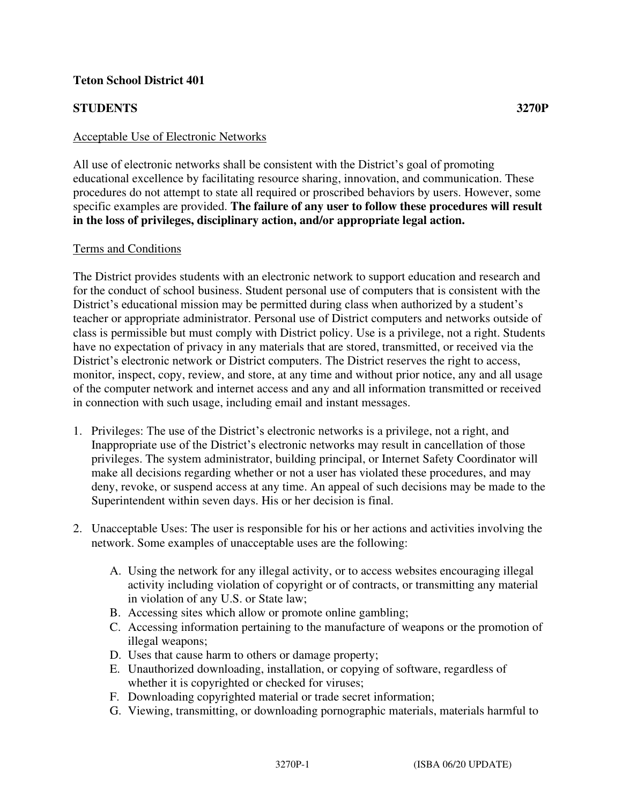# **Teton School District 401**

# **STUDENTS 3270P**

## Acceptable Use of Electronic Networks

All use of electronic networks shall be consistent with the District's goal of promoting educational excellence by facilitating resource sharing, innovation, and communication. These procedures do not attempt to state all required or proscribed behaviors by users. However, some specific examples are provided. **The failure of any user to follow these procedures will result in the loss of privileges, disciplinary action, and/or appropriate legal action.**

#### Terms and Conditions

The District provides students with an electronic network to support education and research and for the conduct of school business. Student personal use of computers that is consistent with the District's educational mission may be permitted during class when authorized by a student's teacher or appropriate administrator. Personal use of District computers and networks outside of class is permissible but must comply with District policy. Use is a privilege, not a right. Students have no expectation of privacy in any materials that are stored, transmitted, or received via the District's electronic network or District computers. The District reserves the right to access, monitor, inspect, copy, review, and store, at any time and without prior notice, any and all usage of the computer network and internet access and any and all information transmitted or received in connection with such usage, including email and instant messages.

- 1. Privileges: The use of the District's electronic networks is a privilege, not a right, and Inappropriate use of the District's electronic networks may result in cancellation of those privileges. The system administrator, building principal, or Internet Safety Coordinator will make all decisions regarding whether or not a user has violated these procedures, and may deny, revoke, or suspend access at any time. An appeal of such decisions may be made to the Superintendent within seven days. His or her decision is final.
- 2. Unacceptable Uses: The user is responsible for his or her actions and activities involving the network. Some examples of unacceptable uses are the following:
	- A. Using the network for any illegal activity, or to access websites encouraging illegal activity including violation of copyright or of contracts, or transmitting any material in violation of any U.S. or State law;
	- B. Accessing sites which allow or promote online gambling;
	- C. Accessing information pertaining to the manufacture of weapons or the promotion of illegal weapons;
	- D. Uses that cause harm to others or damage property;
	- E. Unauthorized downloading, installation, or copying of software, regardless of whether it is copyrighted or checked for viruses;
	- F. Downloading copyrighted material or trade secret information;
	- G. Viewing, transmitting, or downloading pornographic materials, materials harmful to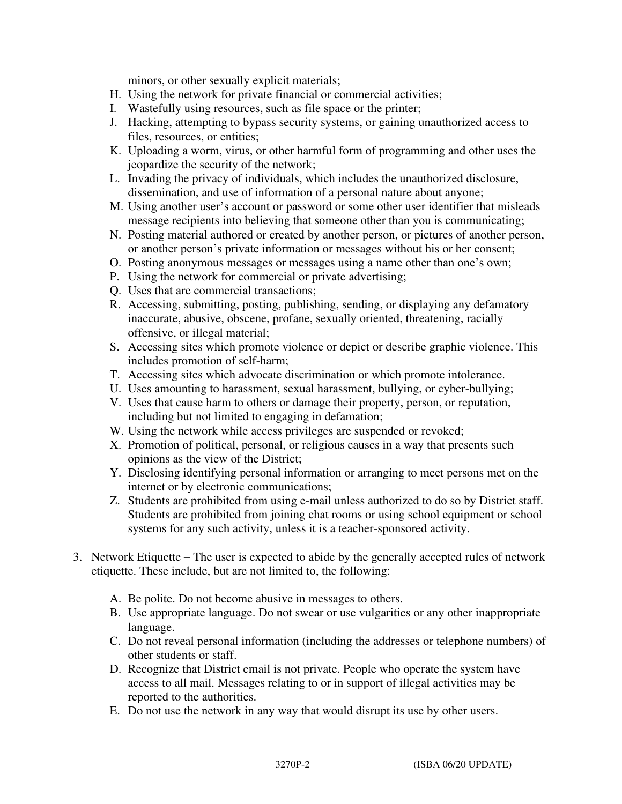minors, or other sexually explicit materials;

- H. Using the network for private financial or commercial activities;
- I. Wastefully using resources, such as file space or the printer;
- J. Hacking, attempting to bypass security systems, or gaining unauthorized access to files, resources, or entities;
- K. Uploading a worm, virus, or other harmful form of programming and other uses the jeopardize the security of the network;
- L. Invading the privacy of individuals, which includes the unauthorized disclosure, dissemination, and use of information of a personal nature about anyone;
- M. Using another user's account or password or some other user identifier that misleads message recipients into believing that someone other than you is communicating;
- N. Posting material authored or created by another person, or pictures of another person, or another person's private information or messages without his or her consent;
- O. Posting anonymous messages or messages using a name other than one's own;
- P. Using the network for commercial or private advertising;
- Q. Uses that are commercial transactions;
- R. Accessing, submitting, posting, publishing, sending, or displaying any defamatory inaccurate, abusive, obscene, profane, sexually oriented, threatening, racially offensive, or illegal material;
- S. Accessing sites which promote violence or depict or describe graphic violence. This includes promotion of self-harm;
- T. Accessing sites which advocate discrimination or which promote intolerance.
- U. Uses amounting to harassment, sexual harassment, bullying, or cyber-bullying;
- V. Uses that cause harm to others or damage their property, person, or reputation, including but not limited to engaging in defamation;
- W. Using the network while access privileges are suspended or revoked;
- X. Promotion of political, personal, or religious causes in a way that presents such opinions as the view of the District;
- Y. Disclosing identifying personal information or arranging to meet persons met on the internet or by electronic communications;
- Z. Students are prohibited from using e-mail unless authorized to do so by District staff. Students are prohibited from joining chat rooms or using school equipment or school systems for any such activity, unless it is a teacher-sponsored activity.
- 3. Network Etiquette The user is expected to abide by the generally accepted rules of network etiquette. These include, but are not limited to, the following:
	- A. Be polite. Do not become abusive in messages to others.
	- B. Use appropriate language. Do not swear or use vulgarities or any other inappropriate language.
	- C. Do not reveal personal information (including the addresses or telephone numbers) of other students or staff.
	- D. Recognize that District email is not private. People who operate the system have access to all mail. Messages relating to or in support of illegal activities may be reported to the authorities.
	- E. Do not use the network in any way that would disrupt its use by other users.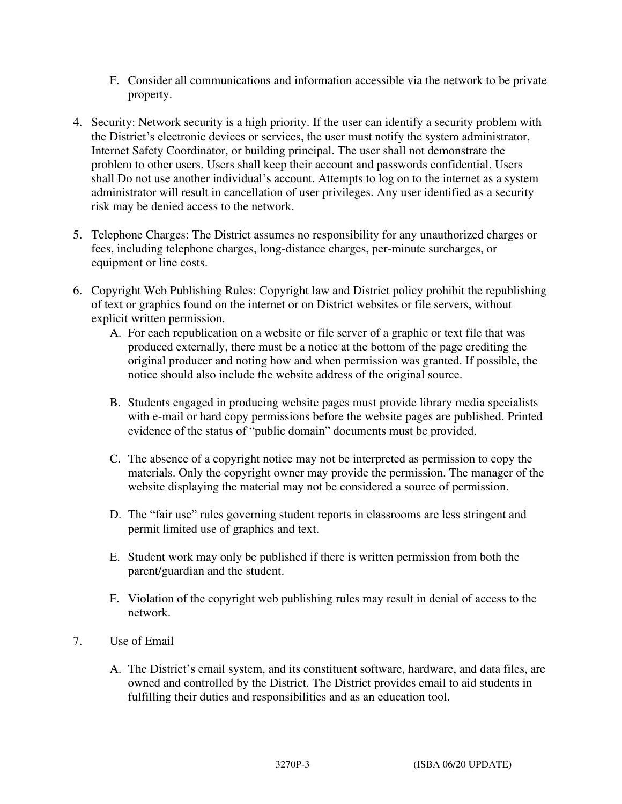- F. Consider all communications and information accessible via the network to be private property.
- 4. Security: Network security is a high priority. If the user can identify a security problem with the District's electronic devices or services, the user must notify the system administrator, Internet Safety Coordinator, or building principal. The user shall not demonstrate the problem to other users. Users shall keep their account and passwords confidential. Users shall  $\overline{D}$  not use another individual's account. Attempts to log on to the internet as a system administrator will result in cancellation of user privileges. Any user identified as a security risk may be denied access to the network.
- 5. Telephone Charges: The District assumes no responsibility for any unauthorized charges or fees, including telephone charges, long-distance charges, per-minute surcharges, or equipment or line costs.
- 6. Copyright Web Publishing Rules: Copyright law and District policy prohibit the republishing of text or graphics found on the internet or on District websites or file servers, without explicit written permission.
	- A. For each republication on a website or file server of a graphic or text file that was produced externally, there must be a notice at the bottom of the page crediting the original producer and noting how and when permission was granted. If possible, the notice should also include the website address of the original source.
	- B. Students engaged in producing website pages must provide library media specialists with e-mail or hard copy permissions before the website pages are published. Printed evidence of the status of "public domain" documents must be provided.
	- C. The absence of a copyright notice may not be interpreted as permission to copy the materials. Only the copyright owner may provide the permission. The manager of the website displaying the material may not be considered a source of permission.
	- D. The "fair use" rules governing student reports in classrooms are less stringent and permit limited use of graphics and text.
	- E. Student work may only be published if there is written permission from both the parent/guardian and the student.
	- F. Violation of the copyright web publishing rules may result in denial of access to the network.
- 7. Use of Email
	- A. The District's email system, and its constituent software, hardware, and data files, are owned and controlled by the District. The District provides email to aid students in fulfilling their duties and responsibilities and as an education tool.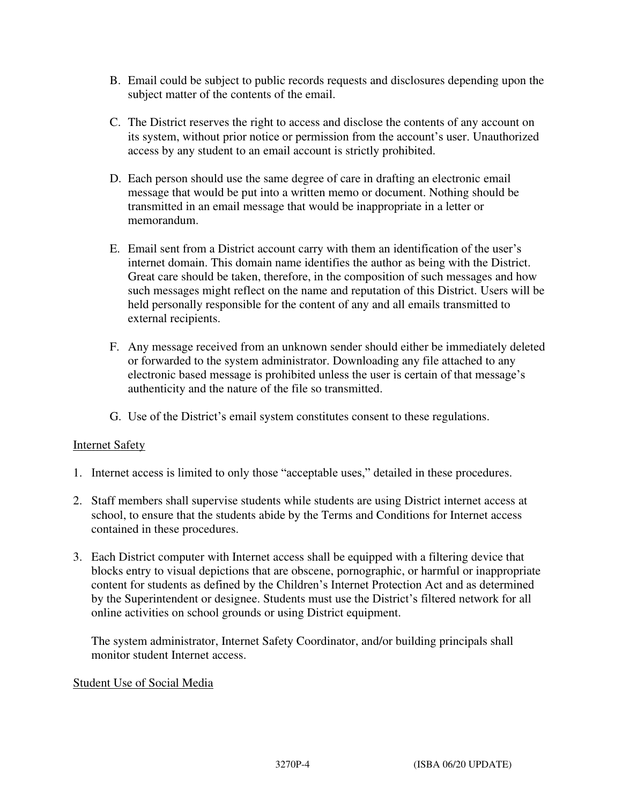- B. Email could be subject to public records requests and disclosures depending upon the subject matter of the contents of the email.
- C. The District reserves the right to access and disclose the contents of any account on its system, without prior notice or permission from the account's user. Unauthorized access by any student to an email account is strictly prohibited.
- D. Each person should use the same degree of care in drafting an electronic email message that would be put into a written memo or document. Nothing should be transmitted in an email message that would be inappropriate in a letter or memorandum.
- E. Email sent from a District account carry with them an identification of the user's internet domain. This domain name identifies the author as being with the District. Great care should be taken, therefore, in the composition of such messages and how such messages might reflect on the name and reputation of this District. Users will be held personally responsible for the content of any and all emails transmitted to external recipients.
- F. Any message received from an unknown sender should either be immediately deleted or forwarded to the system administrator. Downloading any file attached to any electronic based message is prohibited unless the user is certain of that message's authenticity and the nature of the file so transmitted.
- G. Use of the District's email system constitutes consent to these regulations.

# Internet Safety

- 1. Internet access is limited to only those "acceptable uses," detailed in these procedures.
- 2. Staff members shall supervise students while students are using District internet access at school, to ensure that the students abide by the Terms and Conditions for Internet access contained in these procedures.
- 3. Each District computer with Internet access shall be equipped with a filtering device that blocks entry to visual depictions that are obscene, pornographic, or harmful or inappropriate content for students as defined by the Children's Internet Protection Act and as determined by the Superintendent or designee. Students must use the District's filtered network for all online activities on school grounds or using District equipment.

The system administrator, Internet Safety Coordinator, and/or building principals shall monitor student Internet access.

## Student Use of Social Media